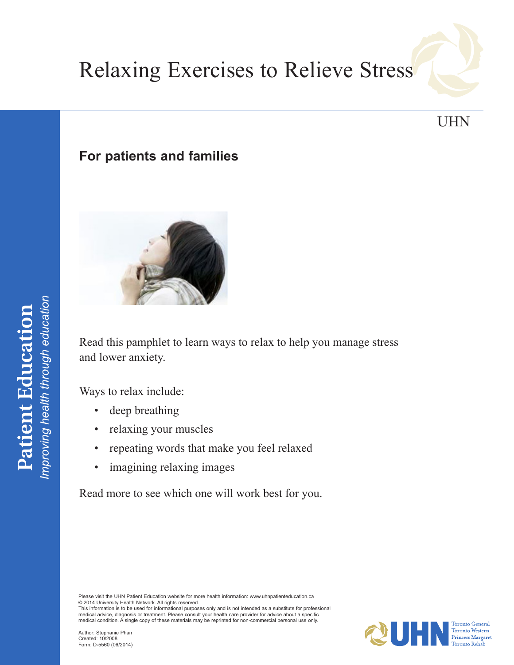# Relaxing Exercises to Relieve Stress

# UHN

## **For patients and families**



Read this pamphlet to learn ways to relax to help you manage stress and lower anxiety.

Ways to relax include:

- deep breathing
- relaxing your muscles
- repeating words that make you feel relaxed
- imagining relaxing images

Read more to see which one will work best for you.

Please visit the UHN Patient Education website for more health information: <www.uhnpatienteducation.ca> © 2014 University Health Network. All rights reserved.

This information is to be used for informational purposes only and is not intended as a substitute for professional medical advice, diagnosis or treatment. Please consult your health care provider for advice about a specific medical condition. A single copy of these materials may be reprinted for non-commercial personal use only.

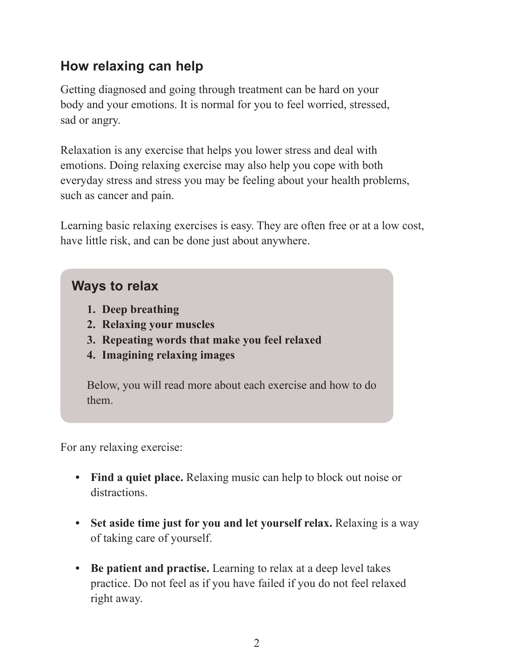# **How relaxing can help**

Getting diagnosed and going through treatment can be hard on your body and your emotions. It is normal for you to feel worried, stressed, sad or angry.

Relaxation is any exercise that helps you lower stress and deal with emotions. Doing relaxing exercise may also help you cope with both everyday stress and stress you may be feeling about your health problems, such as cancer and pain.

Learning basic relaxing exercises is easy. They are often free or at a low cost, have little risk, and can be done just about anywhere.

## **Ways to relax**

- **1. Deep breathing**
- **2. Relaxing your muscles**
- **3. Repeating words that make you feel relaxed**
- **4. Imagining relaxing images**

Below, you will read more about each exercise and how to do them.

For any relaxing exercise:

- Find a quiet place. Relaxing music can help to block out noise or distractions.
- Set aside time just for you and let yourself relax. Relaxing is a way of taking care of yourself.
- **• Be patient and practise.** Learning to relax at a deep level takes practice. Do not feel as if you have failed if you do not feel relaxed right away.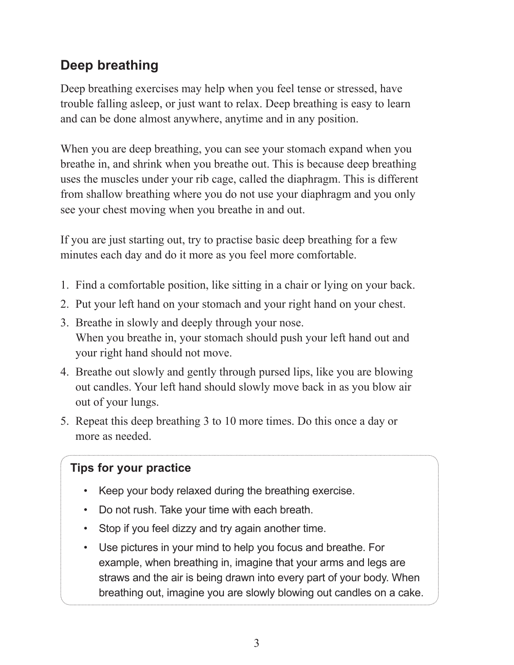# **Deep breathing**

Deep breathing exercises may help when you feel tense or stressed, have trouble falling asleep, or just want to relax. Deep breathing is easy to learn and can be done almost anywhere, anytime and in any position.

When you are deep breathing, you can see your stomach expand when you breathe in, and shrink when you breathe out. This is because deep breathing uses the muscles under your rib cage, called the diaphragm. This is different from shallow breathing where you do not use your diaphragm and you only see your chest moving when you breathe in and out.

If you are just starting out, try to practise basic deep breathing for a few minutes each day and do it more as you feel more comfortable.

- 1. Find a comfortable position, like sitting in a chair or lying on your back.
- 2. Put your left hand on your stomach and your right hand on your chest.
- 3. Breathe in slowly and deeply through your nose. When you breathe in, your stomach should push your left hand out and your right hand should not move.
- 4. Breathe out slowly and gently through pursed lips, like you are blowing out candles. Your left hand should slowly move back in as you blow air out of your lungs.
- 5. Repeat this deep breathing 3 to 10 more times. Do this once a day or more as needed.

### **Tips for your practice**

- Keep your body relaxed during the breathing exercise.
- • Do not rush. Take your time with each breath.
- Stop if you feel dizzy and try again another time.
- Use pictures in your mind to help you focus and breathe. For example, when breathing in, imagine that your arms and legs are straws and the air is being drawn into every part of your body. When breathing out, imagine you are slowly blowing out candles on a cake.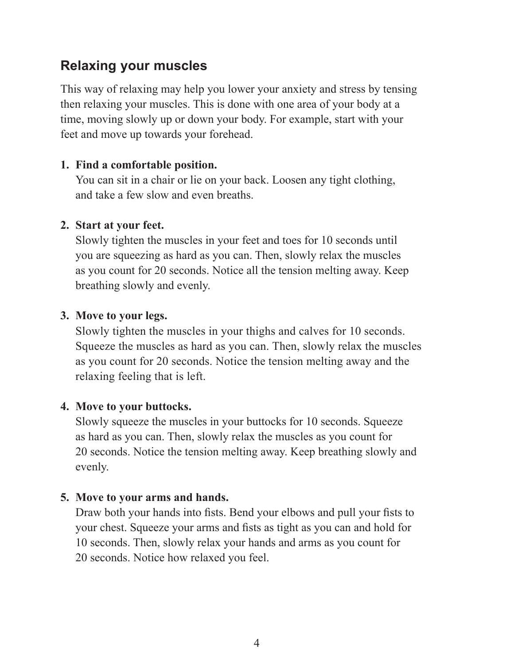## **Relaxing your muscles**

This way of relaxing may help you lower your anxiety and stress by tensing then relaxing your muscles. This is done with one area of your body at a time, moving slowly up or down your body. For example, start with your feet and move up towards your forehead.

#### **1. Find a comfortable position.**

You can sit in a chair or lie on your back. Loosen any tight clothing, and take a few slow and even breaths.

#### **2. Start at your feet.**

Slowly tighten the muscles in your feet and toes for 10 seconds until you are squeezing as hard as you can. Then, slowly relax the muscles as you count for 20 seconds. Notice all the tension melting away. Keep breathing slowly and evenly.

#### **3. Move to your legs.**

Slowly tighten the muscles in your thighs and calves for 10 seconds. Squeeze the muscles as hard as you can. Then, slowly relax the muscles as you count for 20 seconds. Notice the tension melting away and the relaxing feeling that is left.

#### **4. Move to your buttocks.**

Slowly squeeze the muscles in your buttocks for 10 seconds. Squeeze as hard as you can. Then, slowly relax the muscles as you count for 20 seconds. Notice the tension melting away. Keep breathing slowly and evenly.

#### **5. Move to your arms and hands.**

Draw both your hands into fists. Bend your elbows and pull your fists to your chest. Squeeze your arms and fists as tight as you can and hold for 10 seconds. Then, slowly relax your hands and arms as you count for 20 seconds. Notice how relaxed you feel.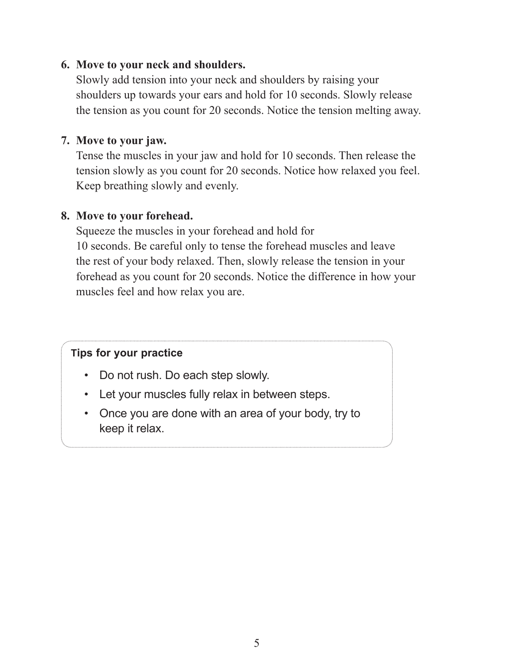#### **6. Move to your neck and shoulders.**

Slowly add tension into your neck and shoulders by raising your shoulders up towards your ears and hold for 10 seconds. Slowly release the tension as you count for 20 seconds. Notice the tension melting away.

#### **7. Move to your jaw.**

Tense the muscles in your jaw and hold for 10 seconds. Then release the tension slowly as you count for 20 seconds. Notice how relaxed you feel. Keep breathing slowly and evenly.

#### **8. Move to your forehead.**

Squeeze the muscles in your forehead and hold for 10 seconds. Be careful only to tense the forehead muscles and leave the rest of your body relaxed. Then, slowly release the tension in your forehead as you count for 20 seconds. Notice the difference in how your muscles feel and how relax you are.

#### **Tips for your practice**

- Do not rush. Do each step slowly.
- • Let your muscles fully relax in between steps.
- Once you are done with an area of your body, try to keep it relax.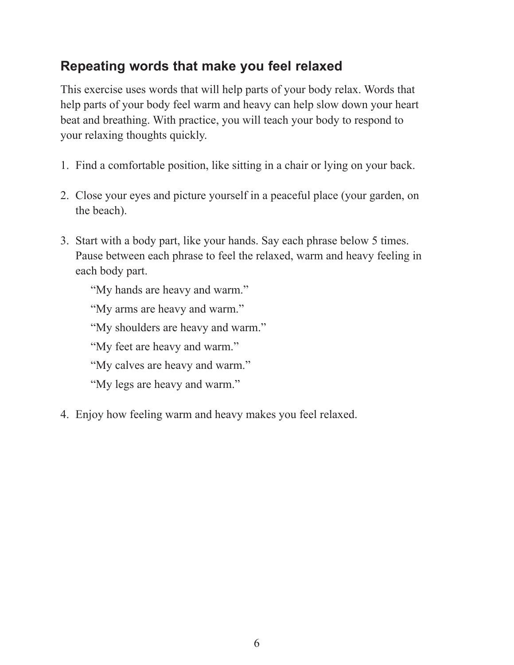# **Repeating words that make you feel relaxed**

This exercise uses words that will help parts of your body relax. Words that help parts of your body feel warm and heavy can help slow down your heart beat and breathing. With practice, you will teach your body to respond to your relaxing thoughts quickly.

- 1. Find a comfortable position, like sitting in a chair or lying on your back.
- 2. Close your eyes and picture yourself in a peaceful place (your garden, on the beach).
- 3. Start with a body part, like your hands. Say each phrase below 5 times. Pause between each phrase to feel the relaxed, warm and heavy feeling in each body part.

"My hands are heavy and warm."

"My arms are heavy and warm."

"My shoulders are heavy and warm."

"My feet are heavy and warm."

"My calves are heavy and warm."

"My legs are heavy and warm."

4. Enjoy how feeling warm and heavy makes you feel relaxed.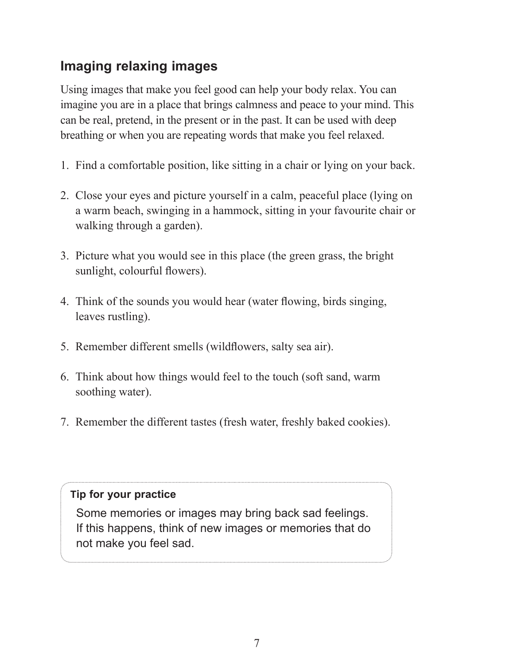# **Imaging relaxing images**

Using images that make you feel good can help your body relax. You can imagine you are in a place that brings calmness and peace to your mind. This can be real, pretend, in the present or in the past. It can be used with deep breathing or when you are repeating words that make you feel relaxed.

- 1. Find a comfortable position, like sitting in a chair or lying on your back.
- 2. Close your eyes and picture yourself in a calm, peaceful place (lying on a warm beach, swinging in a hammock, sitting in your favourite chair or walking through a garden).
- 3. Picture what you would see in this place (the green grass, the bright sunlight, colourful flowers).
- 4. Think of the sounds you would hear (water flowing, birds singing, leaves rustling).
- 5. Remember different smells (wildflowers, salty sea air).
- 6. Think about how things would feel to the touch (soft sand, warm soothing water).
- 7. Remember the different tastes (fresh water, freshly baked cookies).

#### **Tip for your practice**

Some memories or images may bring back sad feelings. If this happens, think of new images or memories that do not make you feel sad.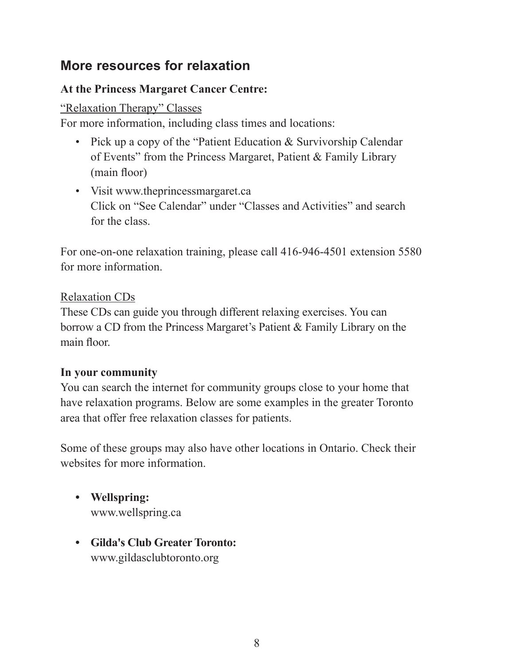## **More resources for relaxation**

#### **At the Princess Margaret Cancer Centre:**

"Relaxation Therapy" Classes

For more information, including class times and locations:

- Pick up a copy of the "Patient Education & Survivorship Calendar of Events" from the Princess Margaret, Patient & Family Library (main floor)
- • Visit <www.theprincessmargaret.ca> Click on "See Calendar" under "Classes and Activities" and search for the class.

For one-on-one relaxation training, please call 416-946-4501 extension 5580 for more information.

#### Relaxation CDs

These CDs can guide you through different relaxing exercises. You can borrow a CD from the Princess Margaret's Patient & Family Library on the main floor.

#### **In your community**

You can search the internet for community groups close to your home that have relaxation programs. Below are some examples in the greater Toronto area that offer free relaxation classes for patients.

Some of these groups may also have other locations in Ontario. Check their websites for more information

- **• Wellspring:** <www.wellspring.ca>
- **• Gilda's Club Greater Toronto:** <www.gildasclubtoronto.org>